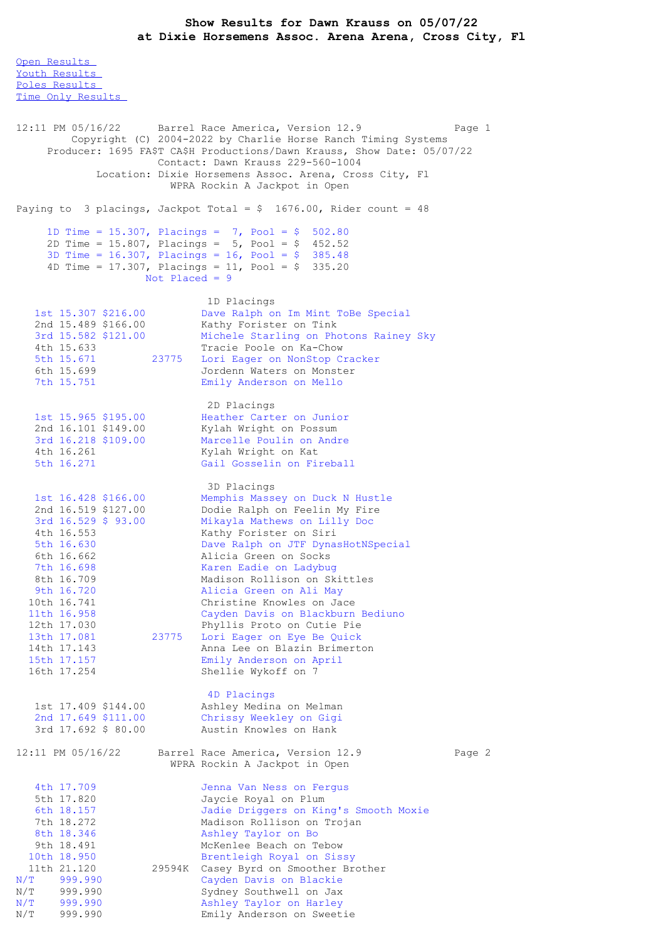Open [Results](file:///C:/Users/flori/Downloads/Show_Results_Dawn_Krauss_05_07_22.html#Open) Youth [Results](file:///C:/Users/flori/Downloads/Show_Results_Dawn_Krauss_05_07_22.html#Youth) Poles [Results](file:///C:/Users/flori/Downloads/Show_Results_Dawn_Krauss_05_07_22.html#Poles) Time Only [Results](file:///C:/Users/flori/Downloads/Show_Results_Dawn_Krauss_05_07_22.html#Time%20Only) 12:11 PM 05/16/22 Barrel Race America, Version 12.9 Page 1 Copyright (C) 2004-2022 by Charlie Horse Ranch Timing Systems Producer: 1695 FA\$T CA\$H Productions/Dawn Krauss, Show Date: 05/07/22 Contact: Dawn Krauss 229-560-1004 Location: Dixie Horsemens Assoc. Arena, Cross City, Fl WPRA Rockin A Jackpot in Open Paying to 3 placings, Jackpot Total =  $$ 1676.00$ , Rider count = 48 1D Time = 15.307, Placings = 7, Pool = \$ 502.80 2D Time = 15.807, Placings = 5, Pool = \$ 452.52 3D Time = 16.307, Placings = 16, Pool = \$ 385.48 4D Time = 17.307, Placings = 11, Pool =  $$335.20$ Not Placed = 9 1D Placings 1st 15.307 \$216.00 Dave Ralph on Im Mint ToBe Special 2nd 15.489 \$166.00 Kathy Forister on Tink 3rd 15.582 \$121.00 Michele Starling on Photons Rainey Sky 4th 15.633 Tracie Poole on Ka-Chow 5th 15.671 23775 Lori Eager on NonStop Cracker 1th 15.633<br>
5th 15.671 23775 Iori Eager on NonStop Cracker<br>
6th 15.699 Jordenn Waters on Monster<br>
7th 15.751 Emily Anderson on Mello Emily Anderson on Mello 2D Placings 1st 15.965 \$195.00 Heather Carter on Junior 2nd 16.101 \$149.00 Kylah Wright on Possum 3rd 16.218 \$109.00 Marcelle Poulin on Andre 4th 16.261 Kylah Wright on Kat 5th 16.271 Gail Gosselin on Fireball 3D Placings 1st 16.428 \$166.00 Memphis Massey on Duck N Hustle 2nd 16.519 \$127.00 Dodie Ralph on Feelin My Fire 3rd 16.529 \$ 93.00 Mikayla Mathews on Lilly Doc 4th 16.553 Kathy Forister on Siri 5th 16.630 Dave Ralph on JTF DynasHotNSpecial 6th 16.662 Alicia Green on Socks 7th 16.698 Karen Eadie on Ladybug 8th 16.709 Madison Rollison on Skittles 9th 16.720 Alicia Green on Ali May 10th 16.741 Christine Knowles on Jace 11th 16.958 Cayden Davis on Blackburn Bediuno 12th 17.030 Phyllis Proto on Cutie Pie<br>13th 17.081 23775 Lori Eager on Eye Be Ouick 23775 Lori Eager on Eye Be Quick 14th 17.143 Anna Lee on Blazin Brimerton 15th 17.157 Emily Anderson on April 16th 17.254 Shellie Wykoff on 7 4D Placings 1st 17.409 \$144.00 Ashley Medina on Melman 2nd 17.649 \$111.00 Chrissy Weekley on Gigi 3rd 17.692 \$ 80.00 Austin Knowles on Hank 12:11 PM 05/16/22 Barrel Race America, Version 12.9 Page 2 WPRA Rockin A Jackpot in Open 4th 17.709 Jenna Van Ness on Fergus<br>5th 17.820 Jaycie Royal on Plum 5th 17.820 Jaycie Royal on Plum<br>6th 18.157 Jadie Driggers on Kir 6th 18.157 Jadie Driggers on King's Smooth Moxie 7th 18.272 Madison Rollison on Trojan Ashley Taylor on Bo 9th 18.491 McKenlee Beach on Tebow<br>0th 18.950 Brentleigh Royal on Sissy 10th 18.950 Brentleigh Royal on Sissy 11th 21.120 29594K Casey Byrd on Smoother Brother N/T 999.990 Cayden Davis on Blackie N/T 999.990 Sydney Southwell on Jax<br>N/T 999.990 Ashley Taylor on Harley<br>N/T 999.990 Emily Anderson on Sweet Ashley Taylor on Harley Emily Anderson on Sweetie